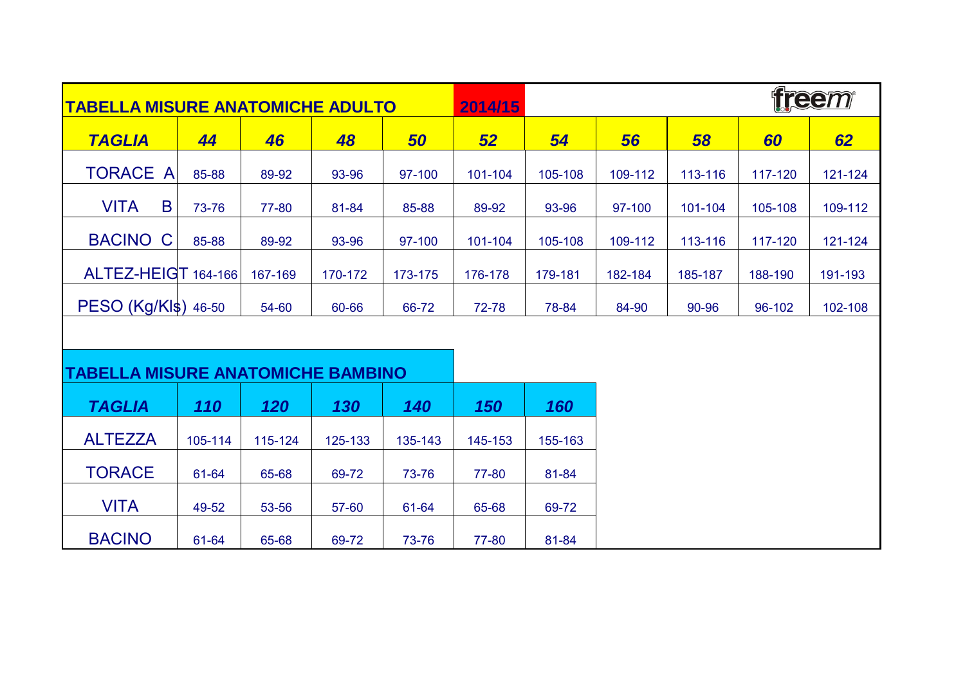| <b>TABELLA MISURE ANATOMICHE ADULTO</b>  |         |         |         |         | 2014/15 |         |         |         | freem   |         |  |
|------------------------------------------|---------|---------|---------|---------|---------|---------|---------|---------|---------|---------|--|
| <b>TAGLIA</b>                            | 44      | 46      | 48      | 50      | 52      | 54      | 56      | 58      | 60      | 62      |  |
| <b>TORACE A</b>                          | 85-88   | 89-92   | 93-96   | 97-100  | 101-104 | 105-108 | 109-112 | 113-116 | 117-120 | 121-124 |  |
| B<br><b>VITA</b>                         | 73-76   | 77-80   | 81-84   | 85-88   | 89-92   | 93-96   | 97-100  | 101-104 | 105-108 | 109-112 |  |
| <b>BACINO</b><br>C                       | 85-88   | 89-92   | 93-96   | 97-100  | 101-104 | 105-108 | 109-112 | 113-116 | 117-120 | 121-124 |  |
| ALTEZ-HEIGT 164-166                      |         | 167-169 | 170-172 | 173-175 | 176-178 | 179-181 | 182-184 | 185-187 | 188-190 | 191-193 |  |
| PESO (Kg/Kl\$) 46-50                     |         | 54-60   | 60-66   | 66-72   | 72-78   | 78-84   | 84-90   | 90-96   | 96-102  | 102-108 |  |
|                                          |         |         |         |         |         |         |         |         |         |         |  |
| <b>TABELLA MISURE ANATOMICHE BAMBINO</b> |         |         |         |         |         |         |         |         |         |         |  |
| <b>TAGLIA</b>                            | 110     | 120     | 130     | 140     | 150     | 160     |         |         |         |         |  |
| <b>ALTEZZA</b>                           | 105-114 | 115-124 | 125-133 | 135-143 | 145-153 | 155-163 |         |         |         |         |  |
| <b>TORACE</b>                            | 61-64   | 65-68   | 69-72   | 73-76   | 77-80   | 81-84   |         |         |         |         |  |
| <b>VITA</b>                              | 49-52   | 53-56   | 57-60   | 61-64   | 65-68   | 69-72   |         |         |         |         |  |
| <b>BACINO</b>                            | 61-64   | 65-68   | 69-72   | 73-76   | 77-80   | 81-84   |         |         |         |         |  |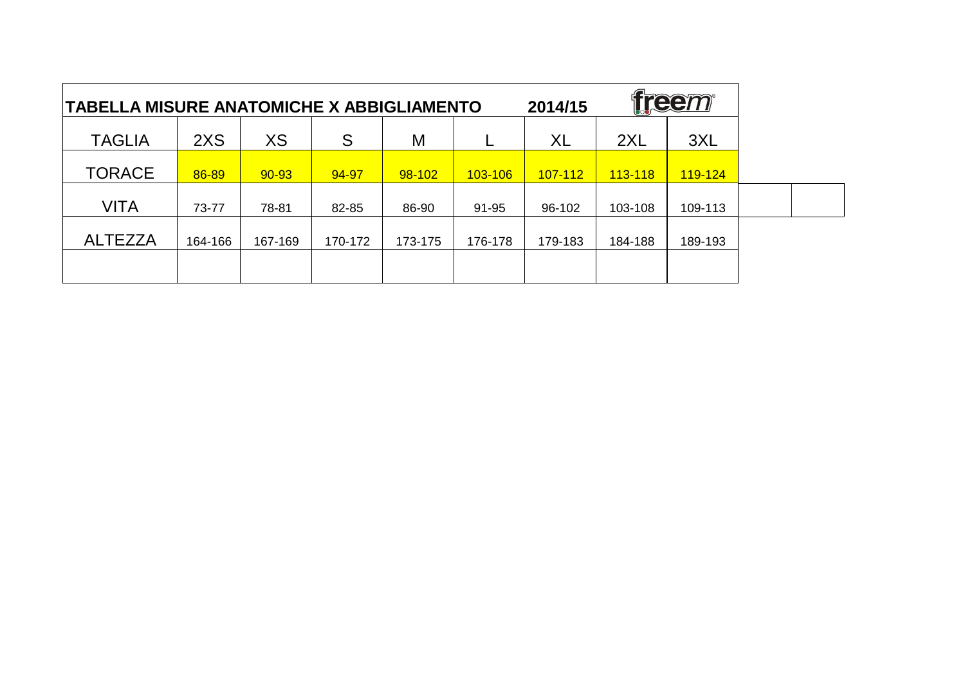| freem<br>2014/15<br><b>TABELLA MISURE ANATOMICHE X ABBIGLIAMENTO</b> |         |           |         |         |         |                |         |         |  |
|----------------------------------------------------------------------|---------|-----------|---------|---------|---------|----------------|---------|---------|--|
| <b>TAGLIA</b>                                                        | 2XS     | XS        | S       | M       |         | <b>XL</b>      | 2XL     | 3XL     |  |
| <b>TORACE</b>                                                        | 86-89   | $90 - 93$ | 94-97   | 98-102  | 103-106 | <u>107-112</u> | 113-118 | 119-124 |  |
| VITA                                                                 | 73-77   | 78-81     | 82-85   | 86-90   | 91-95   | 96-102         | 103-108 | 109-113 |  |
| <b>ALTEZZA</b>                                                       | 164-166 | 167-169   | 170-172 | 173-175 | 176-178 | 179-183        | 184-188 | 189-193 |  |
|                                                                      |         |           |         |         |         |                |         |         |  |